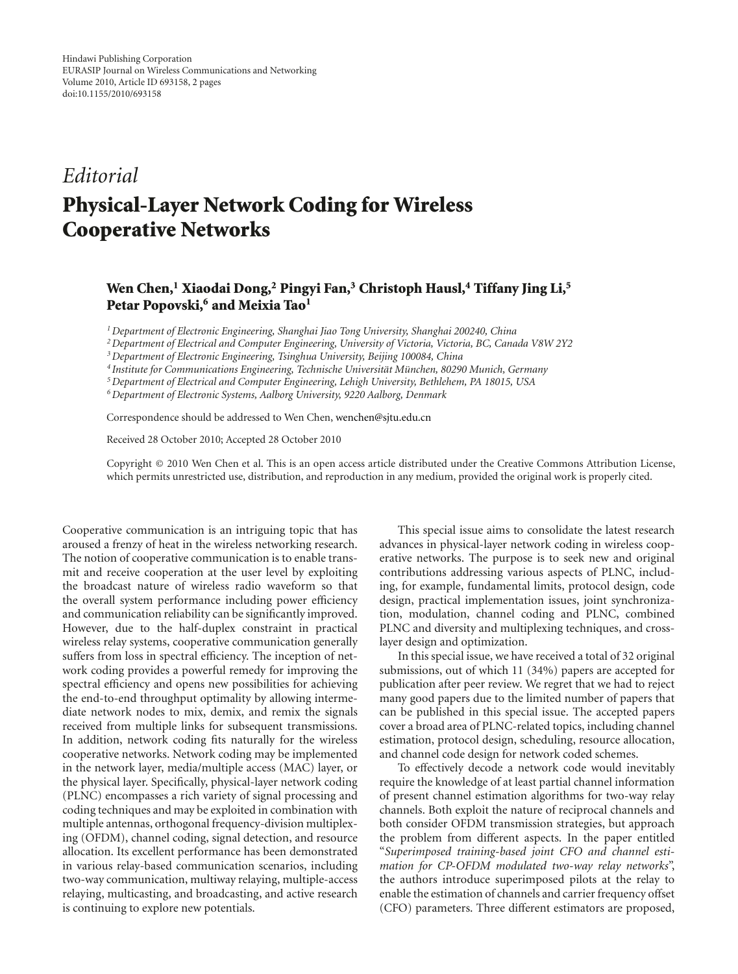## *Editorial* **Physical-Layer Network Coding for Wireless Cooperative Networks**

## **Wen Chen,1 Xiaodai Dong,2 Pingyi Fan,3 Christoph Hausl,4 Tiffany Jing Li,5** Petar Popovski,<sup>6</sup> and Meixia Tao<sup>1</sup>

*1Department of Electronic Engineering, Shanghai Jiao Tong University, Shanghai 200240, China*

*2Department of Electrical and Computer Engineering, University of Victoria, Victoria, BC, Canada V8W 2Y2*

*3Department of Electronic Engineering, Tsinghua University, Beijing 100084, China*

*<sup>4</sup> Institute for Communications Engineering, Technische Universitat M¨ unchen, 80290 Munich, Germany ¨*

*5Department of Electrical and Computer Engineering, Lehigh University, Bethlehem, PA 18015, USA*

*6Department of Electronic Systems, Aalborg University, 9220 Aalborg, Denmark*

Correspondence should be addressed to Wen Chen, wenchen@sjtu.edu.cn

Received 28 October 2010; Accepted 28 October 2010

Copyright © 2010 Wen Chen et al. This is an open access article distributed under the Creative Commons Attribution License, which permits unrestricted use, distribution, and reproduction in any medium, provided the original work is properly cited.

Cooperative communication is an intriguing topic that has aroused a frenzy of heat in the wireless networking research. The notion of cooperative communication is to enable transmit and receive cooperation at the user level by exploiting the broadcast nature of wireless radio waveform so that the overall system performance including power efficiency and communication reliability can be significantly improved. However, due to the half-duplex constraint in practical wireless relay systems, cooperative communication generally suffers from loss in spectral efficiency. The inception of network coding provides a powerful remedy for improving the spectral efficiency and opens new possibilities for achieving the end-to-end throughput optimality by allowing intermediate network nodes to mix, demix, and remix the signals received from multiple links for subsequent transmissions. In addition, network coding fits naturally for the wireless cooperative networks. Network coding may be implemented in the network layer, media/multiple access (MAC) layer, or the physical layer. Specifically, physical-layer network coding (PLNC) encompasses a rich variety of signal processing and coding techniques and may be exploited in combination with multiple antennas, orthogonal frequency-division multiplexing (OFDM), channel coding, signal detection, and resource allocation. Its excellent performance has been demonstrated in various relay-based communication scenarios, including two-way communication, multiway relaying, multiple-access relaying, multicasting, and broadcasting, and active research is continuing to explore new potentials.

This special issue aims to consolidate the latest research advances in physical-layer network coding in wireless cooperative networks. The purpose is to seek new and original contributions addressing various aspects of PLNC, including, for example, fundamental limits, protocol design, code design, practical implementation issues, joint synchronization, modulation, channel coding and PLNC, combined PLNC and diversity and multiplexing techniques, and crosslayer design and optimization.

In this special issue, we have received a total of 32 original submissions, out of which 11 (34%) papers are accepted for publication after peer review. We regret that we had to reject many good papers due to the limited number of papers that can be published in this special issue. The accepted papers cover a broad area of PLNC-related topics, including channel estimation, protocol design, scheduling, resource allocation, and channel code design for network coded schemes.

To effectively decode a network code would inevitably require the knowledge of at least partial channel information of present channel estimation algorithms for two-way relay channels. Both exploit the nature of reciprocal channels and both consider OFDM transmission strategies, but approach the problem from different aspects. In the paper entitled "*Superimposed training-based joint CFO and channel estimation for CP-OFDM modulated two-way relay networks*", the authors introduce superimposed pilots at the relay to enable the estimation of channels and carrier frequency offset (CFO) parameters. Three different estimators are proposed,